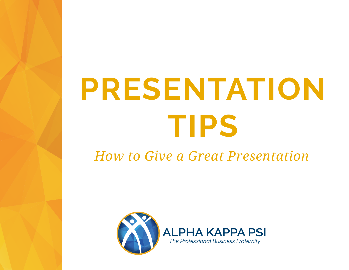# **PRESENTATION TIPS**

#### *How to Give a Great Presentation*

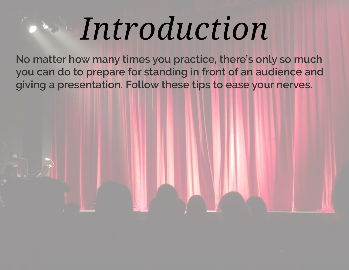## *Introduction*

**No matter how many times you practice, there's only so much you can do to prepare for standing in front of an audience and giving a presentation. Follow these tips to ease your nerves.**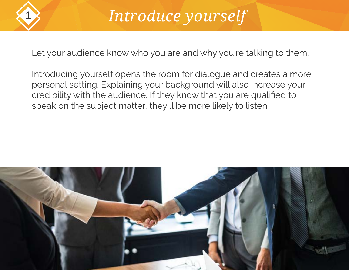

#### 1 *Introduce yourself*

Let your audience know who you are and why you're talking to them.

Introducing yourself opens the room for dialogue and creates a more personal setting. Explaining your background will also increase your credibility with the audience. If they know that you are qualified to speak on the subject matter, they'll be more likely to listen.

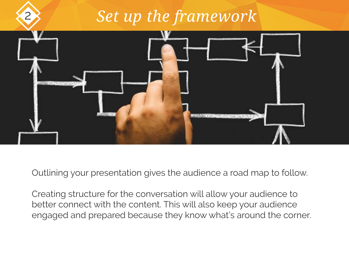### *Set up the framework*



Outlining your presentation gives the audience a road map to follow.

Creating structure for the conversation will allow your audience to better connect with the content. This will also keep your audience engaged and prepared because they know what's around the corner.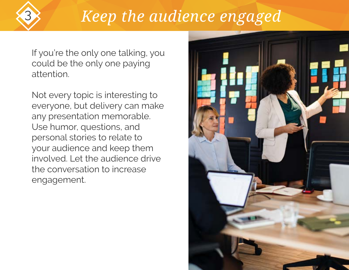#### 3 *Keep the audience engaged*

If you're the only one talking, you could be the only one paying attention.

Not every topic is interesting to everyone, but delivery can make any presentation memorable. Use humor, questions, and personal stories to relate to your audience and keep them involved. Let the audience drive the conversation to increase engagement.

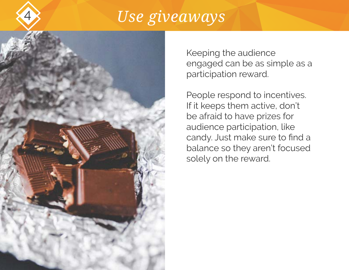#### Use giveaways



Keeping the audience engaged can be as simple as a participation reward.

People respond to incentives. If it keeps them active, don't be afraid to have prizes for audience participation, like candy. Just make sure to find a balance so they aren't focused solely on the reward.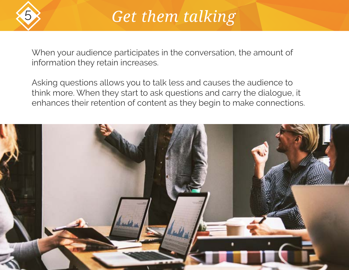

#### **Get them talking**

When your audience participates in the conversation, the amount of information they retain increases.

Asking questions allows you to talk less and causes the audience to think more. When they start to ask questions and carry the dialogue, it enhances their retention of content as they begin to make connections.

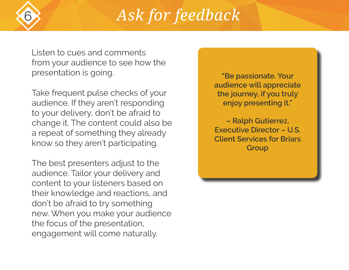#### 6 *Ask for feedback*

Listen to cues and comments from your audience to see how the presentation is going.

Take frequent pulse checks of your audience. If they aren't responding to your delivery, don't be afraid to change it. The content could also be a repeat of something they already know so they aren't participating.

The best presenters adjust to the audience. Tailor your delivery and content to your listeners based on their knowledge and reactions, and don't be afraid to try something new. When you make your audience the focus of the presentation, engagement will come naturally.

**"Be passionate. Your audience will appreciate the journey, if you truly enjoy presenting it."**

**– Ralph Gutierrez, Executive Director – U.S. Client Services for Briars Group**